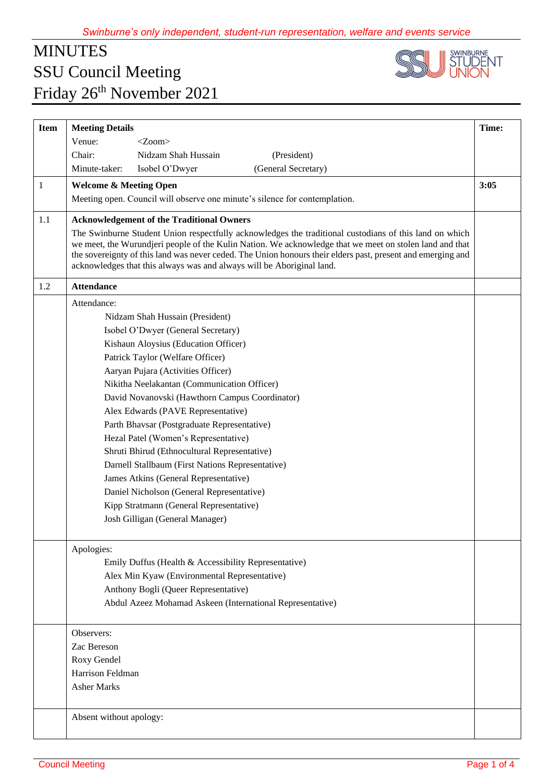## MINUTES SSU Council Meeting Friday 26<sup>th</sup> November 2021



| <b>Item</b> | <b>Meeting Details</b>                                                                                                                                                                                                                                                                                                                                                                                    | Time: |
|-------------|-----------------------------------------------------------------------------------------------------------------------------------------------------------------------------------------------------------------------------------------------------------------------------------------------------------------------------------------------------------------------------------------------------------|-------|
|             | Venue:<br>$<$ Zoom $>$                                                                                                                                                                                                                                                                                                                                                                                    |       |
|             | Nidzam Shah Hussain<br>Chair:<br>(President)                                                                                                                                                                                                                                                                                                                                                              |       |
|             | (General Secretary)<br>Minute-taker:<br>Isobel O'Dwyer                                                                                                                                                                                                                                                                                                                                                    |       |
| 1           | <b>Welcome &amp; Meeting Open</b>                                                                                                                                                                                                                                                                                                                                                                         | 3:05  |
|             | Meeting open. Council will observe one minute's silence for contemplation.                                                                                                                                                                                                                                                                                                                                |       |
| 1.1         | <b>Acknowledgement of the Traditional Owners</b>                                                                                                                                                                                                                                                                                                                                                          |       |
|             | The Swinburne Student Union respectfully acknowledges the traditional custodians of this land on which<br>we meet, the Wurundjeri people of the Kulin Nation. We acknowledge that we meet on stolen land and that<br>the sovereignty of this land was never ceded. The Union honours their elders past, present and emerging and<br>acknowledges that this always was and always will be Aboriginal land. |       |
| 1.2         | <b>Attendance</b>                                                                                                                                                                                                                                                                                                                                                                                         |       |
|             | Attendance:                                                                                                                                                                                                                                                                                                                                                                                               |       |
|             | Nidzam Shah Hussain (President)                                                                                                                                                                                                                                                                                                                                                                           |       |
|             | Isobel O'Dwyer (General Secretary)                                                                                                                                                                                                                                                                                                                                                                        |       |
|             | Kishaun Aloysius (Education Officer)                                                                                                                                                                                                                                                                                                                                                                      |       |
|             | Patrick Taylor (Welfare Officer)                                                                                                                                                                                                                                                                                                                                                                          |       |
|             | Aaryan Pujara (Activities Officer)                                                                                                                                                                                                                                                                                                                                                                        |       |
|             | Nikitha Neelakantan (Communication Officer)                                                                                                                                                                                                                                                                                                                                                               |       |
|             | David Novanovski (Hawthorn Campus Coordinator)                                                                                                                                                                                                                                                                                                                                                            |       |
|             | Alex Edwards (PAVE Representative)                                                                                                                                                                                                                                                                                                                                                                        |       |
|             | Parth Bhavsar (Postgraduate Representative)                                                                                                                                                                                                                                                                                                                                                               |       |
|             | Hezal Patel (Women's Representative)                                                                                                                                                                                                                                                                                                                                                                      |       |
|             | Shruti Bhirud (Ethnocultural Representative)                                                                                                                                                                                                                                                                                                                                                              |       |
|             | Darnell Stallbaum (First Nations Representative)                                                                                                                                                                                                                                                                                                                                                          |       |
|             | James Atkins (General Representative)                                                                                                                                                                                                                                                                                                                                                                     |       |
|             | Daniel Nicholson (General Representative)                                                                                                                                                                                                                                                                                                                                                                 |       |
|             | Kipp Stratmann (General Representative)                                                                                                                                                                                                                                                                                                                                                                   |       |
|             | Josh Gilligan (General Manager)                                                                                                                                                                                                                                                                                                                                                                           |       |
|             | Apologies:                                                                                                                                                                                                                                                                                                                                                                                                |       |
|             | Emily Duffus (Health & Accessibility Representative)                                                                                                                                                                                                                                                                                                                                                      |       |
|             | Alex Min Kyaw (Environmental Representative)                                                                                                                                                                                                                                                                                                                                                              |       |
|             | Anthony Bogli (Queer Representative)                                                                                                                                                                                                                                                                                                                                                                      |       |
|             | Abdul Azeez Mohamad Askeen (International Representative)                                                                                                                                                                                                                                                                                                                                                 |       |
|             | Observers:                                                                                                                                                                                                                                                                                                                                                                                                |       |
|             | Zac Bereson                                                                                                                                                                                                                                                                                                                                                                                               |       |
|             | Roxy Gendel                                                                                                                                                                                                                                                                                                                                                                                               |       |
|             | Harrison Feldman                                                                                                                                                                                                                                                                                                                                                                                          |       |
|             | <b>Asher Marks</b>                                                                                                                                                                                                                                                                                                                                                                                        |       |
|             | Absent without apology:                                                                                                                                                                                                                                                                                                                                                                                   |       |
|             |                                                                                                                                                                                                                                                                                                                                                                                                           |       |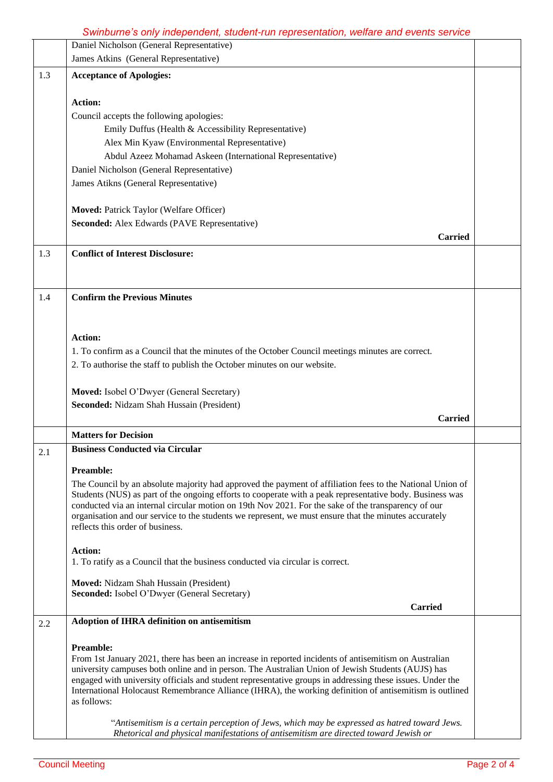## *Swinburne's only independent, student-run representation, welfare and events service*

|     | Daniel Nicholson (General Representative)                                                                                                                                                                       |  |
|-----|-----------------------------------------------------------------------------------------------------------------------------------------------------------------------------------------------------------------|--|
|     | James Atkins (General Representative)                                                                                                                                                                           |  |
| 1.3 | <b>Acceptance of Apologies:</b>                                                                                                                                                                                 |  |
|     |                                                                                                                                                                                                                 |  |
|     | <b>Action:</b>                                                                                                                                                                                                  |  |
|     | Council accepts the following apologies:                                                                                                                                                                        |  |
|     | Emily Duffus (Health & Accessibility Representative)                                                                                                                                                            |  |
|     | Alex Min Kyaw (Environmental Representative)                                                                                                                                                                    |  |
|     | Abdul Azeez Mohamad Askeen (International Representative)<br>Daniel Nicholson (General Representative)                                                                                                          |  |
|     | James Atikns (General Representative)                                                                                                                                                                           |  |
|     |                                                                                                                                                                                                                 |  |
|     | Moved: Patrick Taylor (Welfare Officer)                                                                                                                                                                         |  |
|     | Seconded: Alex Edwards (PAVE Representative)                                                                                                                                                                    |  |
|     | <b>Carried</b>                                                                                                                                                                                                  |  |
| 1.3 | <b>Conflict of Interest Disclosure:</b>                                                                                                                                                                         |  |
|     |                                                                                                                                                                                                                 |  |
|     |                                                                                                                                                                                                                 |  |
|     |                                                                                                                                                                                                                 |  |
| 1.4 | <b>Confirm the Previous Minutes</b>                                                                                                                                                                             |  |
|     |                                                                                                                                                                                                                 |  |
|     | Action:                                                                                                                                                                                                         |  |
|     |                                                                                                                                                                                                                 |  |
|     | 1. To confirm as a Council that the minutes of the October Council meetings minutes are correct.<br>2. To authorise the staff to publish the October minutes on our website.                                    |  |
|     |                                                                                                                                                                                                                 |  |
|     | Moved: Isobel O'Dwyer (General Secretary)                                                                                                                                                                       |  |
|     | Seconded: Nidzam Shah Hussain (President)                                                                                                                                                                       |  |
|     | <b>Carried</b>                                                                                                                                                                                                  |  |
|     | <b>Matters for Decision</b>                                                                                                                                                                                     |  |
|     | <b>Business Conducted via Circular</b>                                                                                                                                                                          |  |
| 2.1 |                                                                                                                                                                                                                 |  |
|     | <b>Preamble:</b>                                                                                                                                                                                                |  |
|     | The Council by an absolute majority had approved the payment of affiliation fees to the National Union of                                                                                                       |  |
|     | Students (NUS) as part of the ongoing efforts to cooperate with a peak representative body. Business was<br>conducted via an internal circular motion on 19th Nov 2021. For the sake of the transparency of our |  |
|     | organisation and our service to the students we represent, we must ensure that the minutes accurately                                                                                                           |  |
|     | reflects this order of business.                                                                                                                                                                                |  |
|     |                                                                                                                                                                                                                 |  |
|     | <b>Action:</b><br>1. To ratify as a Council that the business conducted via circular is correct.                                                                                                                |  |
|     |                                                                                                                                                                                                                 |  |
|     | Moved: Nidzam Shah Hussain (President)                                                                                                                                                                          |  |
|     | Seconded: Isobel O'Dwyer (General Secretary)                                                                                                                                                                    |  |
|     | <b>Carried</b>                                                                                                                                                                                                  |  |
| 2.2 | Adoption of IHRA definition on antisemitism                                                                                                                                                                     |  |
|     | <b>Preamble:</b>                                                                                                                                                                                                |  |
|     | From 1st January 2021, there has been an increase in reported incidents of antisemitism on Australian                                                                                                           |  |
|     | university campuses both online and in person. The Australian Union of Jewish Students (AUJS) has                                                                                                               |  |
|     | engaged with university officials and student representative groups in addressing these issues. Under the                                                                                                       |  |
|     | International Holocaust Remembrance Alliance (IHRA), the working definition of antisemitism is outlined<br>as follows:                                                                                          |  |
|     |                                                                                                                                                                                                                 |  |
|     | "Antisemitism is a certain perception of Jews, which may be expressed as hatred toward Jews.                                                                                                                    |  |
|     | Rhetorical and physical manifestations of antisemitism are directed toward Jewish or                                                                                                                            |  |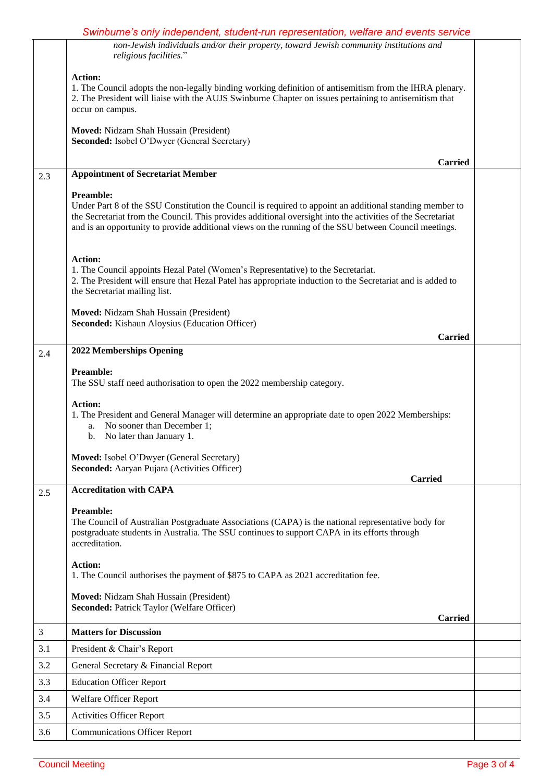|                | Swinburne's only independent, student-run representation, welfare and events service                                                                                                                                                                                                                                                          |  |
|----------------|-----------------------------------------------------------------------------------------------------------------------------------------------------------------------------------------------------------------------------------------------------------------------------------------------------------------------------------------------|--|
|                | non-Jewish individuals and/or their property, toward Jewish community institutions and<br>religious facilities."                                                                                                                                                                                                                              |  |
|                | Action:<br>1. The Council adopts the non-legally binding working definition of antisemitism from the IHRA plenary.<br>2. The President will liaise with the AUJS Swinburne Chapter on issues pertaining to antisemitism that<br>occur on campus.                                                                                              |  |
|                | Moved: Nidzam Shah Hussain (President)<br>Seconded: Isobel O'Dwyer (General Secretary)                                                                                                                                                                                                                                                        |  |
| 2.3            | <b>Carried</b><br><b>Appointment of Secretariat Member</b>                                                                                                                                                                                                                                                                                    |  |
|                | Preamble:<br>Under Part 8 of the SSU Constitution the Council is required to appoint an additional standing member to<br>the Secretariat from the Council. This provides additional oversight into the activities of the Secretariat<br>and is an opportunity to provide additional views on the running of the SSU between Council meetings. |  |
|                | <b>Action:</b><br>1. The Council appoints Hezal Patel (Women's Representative) to the Secretariat.<br>2. The President will ensure that Hezal Patel has appropriate induction to the Secretariat and is added to<br>the Secretariat mailing list.                                                                                             |  |
|                | Moved: Nidzam Shah Hussain (President)<br>Seconded: Kishaun Aloysius (Education Officer)                                                                                                                                                                                                                                                      |  |
|                | <b>Carried</b>                                                                                                                                                                                                                                                                                                                                |  |
| 2.4            | 2022 Memberships Opening                                                                                                                                                                                                                                                                                                                      |  |
|                | <b>Preamble:</b><br>The SSU staff need authorisation to open the 2022 membership category.                                                                                                                                                                                                                                                    |  |
|                | <b>Action:</b><br>1. The President and General Manager will determine an appropriate date to open 2022 Memberships:<br>No sooner than December 1;<br>a.<br>No later than January 1.<br>b.                                                                                                                                                     |  |
|                | Moved: Isobel O'Dwyer (General Secretary)<br>Seconded: Aaryan Pujara (Activities Officer)<br><b>Carried</b>                                                                                                                                                                                                                                   |  |
| 2.5            | <b>Accreditation with CAPA</b>                                                                                                                                                                                                                                                                                                                |  |
|                | <b>Preamble:</b><br>The Council of Australian Postgraduate Associations (CAPA) is the national representative body for<br>postgraduate students in Australia. The SSU continues to support CAPA in its efforts through<br>accreditation.                                                                                                      |  |
|                | <b>Action:</b><br>1. The Council authorises the payment of \$875 to CAPA as 2021 accreditation fee.                                                                                                                                                                                                                                           |  |
|                | Moved: Nidzam Shah Hussain (President)<br><b>Seconded: Patrick Taylor (Welfare Officer)</b><br><b>Carried</b>                                                                                                                                                                                                                                 |  |
| $\mathfrak{Z}$ | <b>Matters for Discussion</b>                                                                                                                                                                                                                                                                                                                 |  |
| 3.1            | President & Chair's Report                                                                                                                                                                                                                                                                                                                    |  |
| 3.2            | General Secretary & Financial Report                                                                                                                                                                                                                                                                                                          |  |
| 3.3            | <b>Education Officer Report</b>                                                                                                                                                                                                                                                                                                               |  |
| 3.4            | Welfare Officer Report                                                                                                                                                                                                                                                                                                                        |  |
| 3.5            | <b>Activities Officer Report</b>                                                                                                                                                                                                                                                                                                              |  |
| 3.6            | <b>Communications Officer Report</b>                                                                                                                                                                                                                                                                                                          |  |
|                |                                                                                                                                                                                                                                                                                                                                               |  |